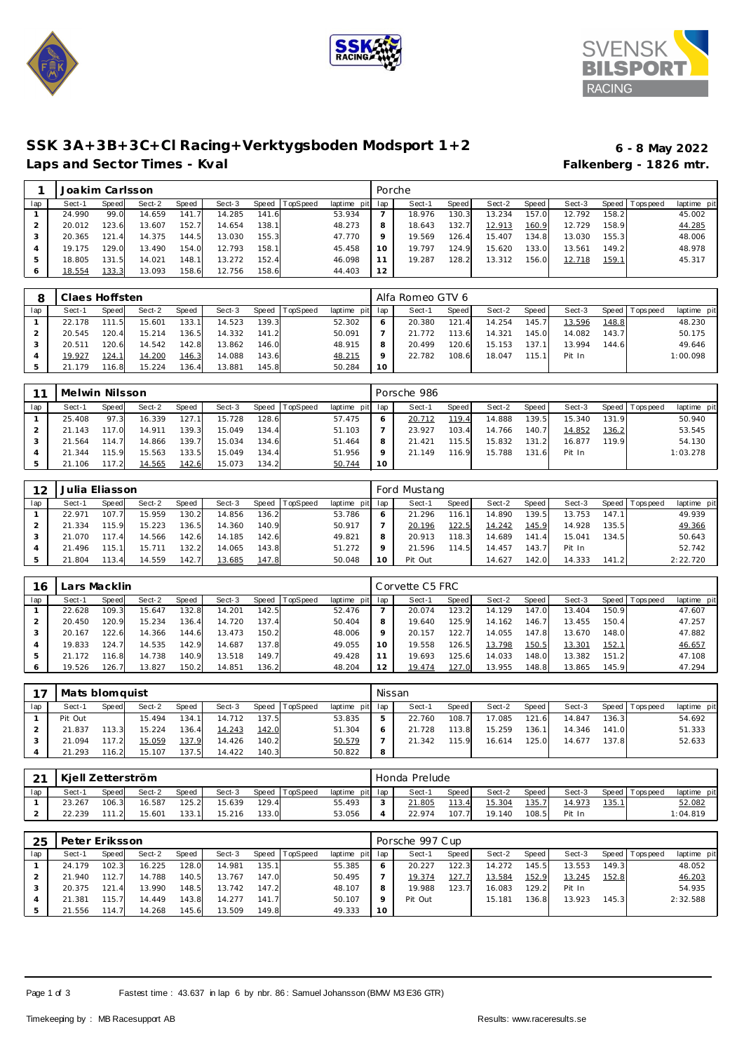





## **SSK 3A+3B+3C+Cl Racing+Verktygsboden Modsport 1+2 6 - 8 May 2022** Laps and Sector Times - Kval **Falkenberg - 1826** mtr.

|     | Joakim Carlsson |       |        |       |        |       |                |             |         | Porche |       |        |       |        |              |                 |             |
|-----|-----------------|-------|--------|-------|--------|-------|----------------|-------------|---------|--------|-------|--------|-------|--------|--------------|-----------------|-------------|
| lap | Sect-1          | Speed | Sect-2 | Speed | Sect-3 |       | Speed TopSpeed | laptime pit | lap     | Sect-1 | Speed | Sect-2 | Speed | Sect-3 |              | Speed Tops peed | laptime pit |
|     | 24.990          | 99.0  | 14.659 | 141.7 | 14.285 | 141.6 |                | 53.934      |         | 18.976 | 130.3 | 13.234 | 157.0 | 12.792 | 158.21       |                 | 45.002      |
|     | 20.012          | 123.6 | 13.607 | 152.7 | 14.654 | 138.1 |                | 48.273      | 8       | 18.643 | 132.7 | 12.913 | 160.9 | 12.729 | 158.9        |                 | 44.285      |
|     | 20.365          | 121.4 | 14.375 | 144.5 | 13.030 | 155.3 |                | 47.770      | $\circ$ | 19.569 | 126.4 | 15.407 | 134.8 | 13.030 | 155.3        |                 | 48.006      |
|     | 19.175          | 129.0 | 13.490 | 154.0 | 12.793 | 158.1 |                | 45.458      | 10      | 19.797 | 124.9 | 15.620 | 133.0 | 13.561 | 149.2        |                 | 48.978      |
|     | 18.805          | 131.5 | 14.021 | 148.1 | 13.272 | 152.4 |                | 46.098      |         | 19.287 | 128.2 | 13.312 | 156.0 | 12.718 | <u>159.1</u> |                 | 45.317      |
|     | 18.554          | 133.3 | 13.093 | 158.6 | 12.756 | 158.6 |                | 44.403      | 12      |        |       |        |       |        |              |                 |             |

|     | Claes Hoffsten |           |        |       |        |       |                |                 |              | Alfa Romeo GTV 6 |        |        |        |        |       |            |             |
|-----|----------------|-----------|--------|-------|--------|-------|----------------|-----------------|--------------|------------------|--------|--------|--------|--------|-------|------------|-------------|
| lap | Sect-1         | Speed     | Sect-2 | Speed | Sect-3 |       | Speed TopSpeed | laptime pit lap |              | Sect-1           | Speed  | Sect-2 | Speed  | Sect-3 | Speed | Tops pee d | laptime pit |
|     | 22.178         | 111<br>-5 | 15.601 | 133.1 | 14.523 | 139.3 |                | 52.302          | <sup>6</sup> | 20.380           | 121.4  | 14.254 | 145.7  | 13.596 | 148.8 |            | 48.230      |
|     | 20.545         | 120.4     | 15.214 | 136.5 | 14.332 | 141.2 |                | 50.091          |              | 21.772           | 113.6  | 14.321 | 145.0  | 14.082 | 143.7 |            | 50.175      |
|     | 20.511         | 120.6     | 14.542 | 142.8 | 13.862 | 146.0 |                | 48.915          | 8            | 20.499           | 120.61 | 15.153 | 137.   | 13.994 | 144.6 |            | 49.646      |
|     | 19.927         | 124.1     | 14.200 | 146.3 | 14.088 | 143.6 |                | 48.215          | $\circ$      | 22.782           | 108.6  | 18.047 | 115.11 | Pit In |       |            | 1:00.098    |
|     | 21.179         | 16.8      | 15.224 | 136.4 | 13.881 | 145.8 |                | 50.284          | 10           |                  |        |        |        |        |       |            |             |

|     | Melwin Nilsson |       |        |       |        |       |          |                 |         | Porsche 986 |       |        |       |        |       |                   |             |
|-----|----------------|-------|--------|-------|--------|-------|----------|-----------------|---------|-------------|-------|--------|-------|--------|-------|-------------------|-------------|
| lap | Sect-1         | Speed | Sect-2 | Speed | Sect-3 | Speed | TopSpeed | laptime pit lap |         | Sect-1      | Speed | Sect-2 | Speed | Sect-3 |       | Speed   Tops peed | laptime pit |
|     | 25.408         | 97.3  | 16.339 | 127.1 | 15.728 | 128.6 |          | 57.475          | $\circ$ | 20.712      | 119.4 | 14.888 | 139.5 | 15.340 | 131.9 |                   | 50.940      |
|     | 21.143         | 117.0 | 14.911 | 139.3 | 15.049 | 134.4 |          | 51.103          |         | 23.927      | 103.4 | 14.766 | 140.7 | 14.852 | 136.2 |                   | 53.545      |
|     | .564           | 114.7 | 14.866 | 139.7 | 15.034 | 134.6 |          | 51.464          |         | 21.421      | 115.5 | 15.832 | 131.2 | 16.877 | 119.9 |                   | 54.130      |
|     | 21.344         | 115.9 | 15.563 | 133.5 | 15.049 | 134.4 |          | 51.956          |         | 21.149      | 116.9 | 15.788 | 131.6 | Pit In |       |                   | 1:03.278    |
|     | 21.106         | 117.2 | 14.565 | 142.6 | 15.073 | 134.2 |          | 50.744          | 10      |             |       |        |       |        |       |                   |             |

| 12  | Julia Eliasson |        |        |              |        |       |          |             |     | Ford Mustang |       |        |       |        |       |                   |             |
|-----|----------------|--------|--------|--------------|--------|-------|----------|-------------|-----|--------------|-------|--------|-------|--------|-------|-------------------|-------------|
| lap | Sect-1         | Speed  | Sect-2 | <b>Speed</b> | Sect-3 | Speed | TopSpeed | laptime pit | lap | Sect-1       | Speed | Sect-2 | Speed | Sect-3 |       | Speed   Tops peed | laptime pit |
|     | 22.971         | 107.7  | 15.959 | 130.2        | 14.856 | 136.2 |          | 53.786      |     | 21.296       | 116.1 | 14.890 | 139.5 | 13.753 | 147.1 |                   | 49.939      |
|     | 21.334         | 15.9   | 15.223 | 136.5        | 14.360 | 140.9 |          | 50.917      |     | 20.196       | 122.5 | 14.242 | 145.9 | 14.928 | 135.5 |                   | 49.366      |
|     | 21.070         | 174    | 14.566 | 142.6        | 14.185 | 142.6 |          | 49.821      | 8   | 20.913       | 118.3 | 14.689 | 141.4 | 15.041 | 134.5 |                   | 50.643      |
|     | 21.496         | 115.11 | 15.711 | 132.2        | 14.065 | 143.8 |          | 51.272      |     | 21.596       | 114.5 | 14.457 | 143.7 | Pit In |       |                   | 52.742      |
|     | 21.804         | 13.4   | 14.559 | 142.7        | 13.685 | 147.8 |          | 50.048      |     | Pit Out      |       | 14.627 | 142.0 | 14.333 | 141.2 |                   | 2:22.720    |

| 16  |        | ars Macklin. |        |       |        |       |          |             |     | Corvette C5 FRC |              |        |       |        |              |           |             |
|-----|--------|--------------|--------|-------|--------|-------|----------|-------------|-----|-----------------|--------------|--------|-------|--------|--------------|-----------|-------------|
| lap | Sect-1 | Speed        | Sect-2 | Speed | Sect-3 | Speed | TopSpeed | laptime pit | lap | Sect-1          | <b>Speed</b> | Sect-2 | Speed | Sect-3 | Speed        | Tops peed | laptime pit |
|     | 22.628 | 109.3        | 15.647 | 132.8 | 14.201 | 142.5 |          | 52.476      |     | 20.074          | 123.2        | 14.129 | 147.0 | 13.404 | 150.9        |           | 47.607      |
|     | 20.450 | 120.9        | 15.234 | 136.4 | 14.720 | 137.4 |          | 50.404      | 8   | 19.640          | 125.9        | 14.162 | 146.7 | 13.455 | 150.4        |           | 47.257      |
| 3   | 20.167 | 122.6        | 14.366 | 144.6 | 13.473 | 150.2 |          | 48.006      | 9   | 20.157          | 122.7        | 14.055 | 147.8 | 13.670 | 148.0        |           | 47.882      |
|     | 19.833 | 124.7        | 14.535 | 142.9 | 14.687 | 137.8 |          | 49.055      | 10  | 19.558          | 126.5        | 13.798 | 150.5 | 13.301 | <u>152.1</u> |           | 46.657      |
| ь   | .172   | 116.8        | 14.738 | 140.9 | 13.518 | 149.7 |          | 49.428      |     | 19.693          | 125.6        | 14.033 | 148.0 | 13.382 | 151.2        |           | 47.108      |
| 6   | 19.526 | 126.7        | 13.827 | 150.2 | 14.851 | 136.2 |          | 48.204      | 12  | 19.474          | 127.0        | 13.955 | 148.8 | 13.865 | 145.9        |           | 47.294      |

| $\overline{\phantom{a}}$ | Mats blomquist |       |        |       |        |       |          |                 | Nissan       |        |       |        |        |        |        |                 |             |
|--------------------------|----------------|-------|--------|-------|--------|-------|----------|-----------------|--------------|--------|-------|--------|--------|--------|--------|-----------------|-------------|
| lap                      | Sect-1         | Speed | Sect-2 | Speed | Sect-3 | Speed | TopSpeed | laptime pit lap |              | Sect-1 | Speed | Sect-2 | Speed  | Sect-3 |        | Speed Tops peed | laptime pit |
|                          | Pit Out        |       | 15.494 | 134.1 | 14.712 | 137.5 |          | 53.835          | ь            | 22.760 | 108.7 | 17.085 | 121.61 | 14.847 | 136.31 |                 | 54.692      |
|                          | .837           | 113.3 | 15.224 | 136.4 | 14.243 | 142.0 |          | 51.304          | <sup>6</sup> | 21.728 | 113.8 | 15.259 | 136.1  | 14.346 | 141.0  |                 | 51.333      |
|                          | 21.094         |       | 15.059 | 137.9 | 14.426 | 140.2 |          | 50.579          |              | 21.342 | 115.9 | 16.614 | 125.01 | 14.677 | 137.8  |                 | 52.633      |
|                          | .293           | 116.2 | 15.107 | 137.5 | 14.422 | 140.3 |          | 50.822          | 8            |        |       |        |        |        |        |                 |             |

| $\sim$ | Kiell Zetterström |       |        |        |        |       |          |                 |        | Honda Prelude |       |        |              |        |               |                   |             |
|--------|-------------------|-------|--------|--------|--------|-------|----------|-----------------|--------|---------------|-------|--------|--------------|--------|---------------|-------------------|-------------|
| lap    | Sect-1            | Speed | Sect-2 | Speed  | Sect-3 | Speed | TopSpeed | laptime pit lap |        | Sect-         | Speed | Sect-2 | Speed        | Sect-3 |               | Speed   Tops peed | laptime pit |
|        | 23.267            | 106.3 | 16.587 | 125.2  | 15.639 | 129.4 |          | 55.493          | $\sim$ | 21.805        | 113.4 | 15.304 | <u>135.7</u> | 4.973  | <u> 135.1</u> |                   | 52.082      |
|        | 22.239            | 111   | 15.601 | 133.11 | 15.216 | 133.0 |          | 53.056          |        | 22.974        | 107.7 | 19.140 | 108.5        | Pit In |               |                   | 1:04.819    |

| 25  | Peter Eriksson |       |        |       |        |       |                |                 |    | Porsche 997 Cup |         |        |         |        |        |                 |             |
|-----|----------------|-------|--------|-------|--------|-------|----------------|-----------------|----|-----------------|---------|--------|---------|--------|--------|-----------------|-------------|
| lap | Sect-1         | Speed | Sect-2 | Speed | Sect-3 |       | Speed TopSpeed | laptime pit lap |    | Sect-1          | Speed I | Sect-2 | Speed I | Sect-3 |        | Speed Tops peed | laptime pit |
|     | 24.179         | 102.3 | 16.225 | 128.0 | 14.981 | 135.1 |                | 55.385          |    | 20.227          | 122.3   | 14.272 | 145.5   | 13.553 | 149.3  |                 | 48.052      |
|     | 21.940         | 112.7 | 14.788 | 140.5 | 13.767 | 147.0 |                | 50.495          |    | 19.374          | 127.7   | 13.584 | 152.9   | 13.245 | 152.8  |                 | 46.203      |
|     | 20.375         | 121.4 | 13.990 | 148.5 | 13.742 | 147.2 |                | 48.107          |    | 19.988          | 123.7   | 16.083 | 129.2   | Pit In |        |                 | 54.935      |
|     | 21.381         | 115.7 | 14.449 | 143.8 | 14.277 | 141.7 |                | 50.107          |    | Pit Out         |         | 15.181 | 136.8   | 13.923 | 145.31 |                 | 2:32.588    |
|     | 21.556         | 114.7 | 14.268 | 145.6 | 13.509 | 149.8 |                | 49.333          | 10 |                 |         |        |         |        |        |                 |             |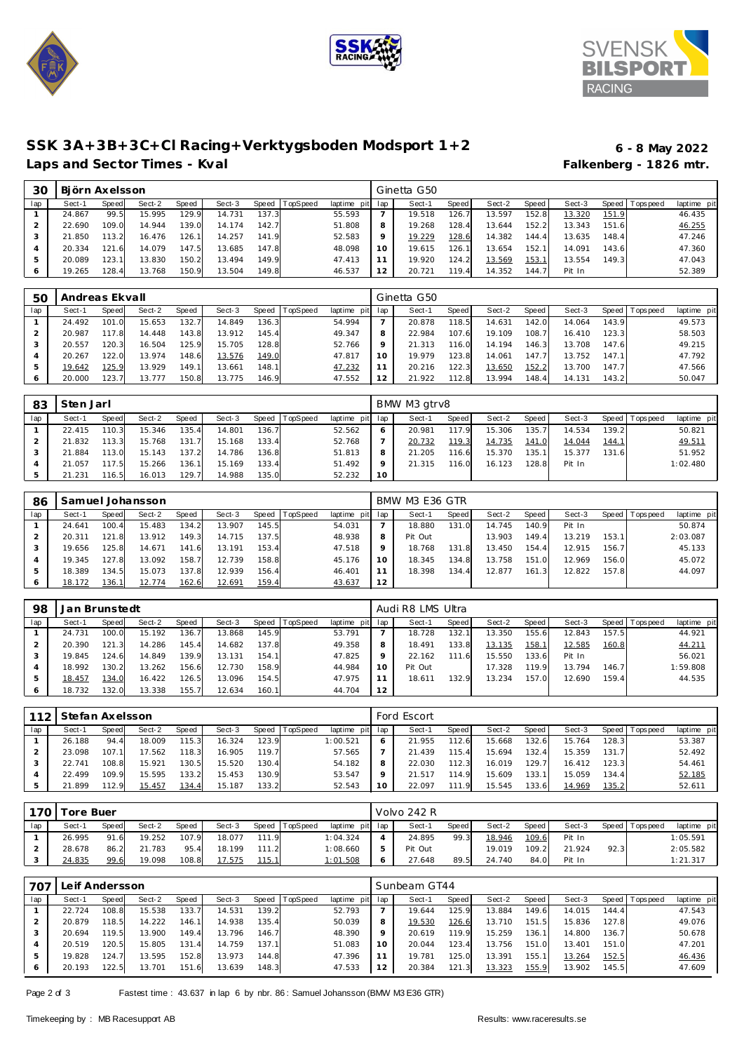





## **SSK 3A+3B+3C+Cl Racing+Verktygsboden Modsport 1+2 6 - 8 May 2022** Laps and Sector Times - Kval **Falkenberg - 1826 mtr. Falkenberg - 1826 mtr.**

| ЗC  | Biörn Axelsson |       |        |       |        |       |          |             |         | Ginetta G50 |       |        |       |        |       |            |             |
|-----|----------------|-------|--------|-------|--------|-------|----------|-------------|---------|-------------|-------|--------|-------|--------|-------|------------|-------------|
| lap | Sect-1         | Speed | Sect-2 | Speed | Sect-3 | Speed | TopSpeed | laptime pit | lap     | Sect-1      | Speed | Sect-2 | Speed | Sect-3 | Speed | Tops pee d | laptime pit |
|     | 24.867         | 99.5  | 15.995 | 129.9 | 14.731 | 137.3 |          | 55.593      |         | 19.518      | 126.  | 13.597 | 152.8 | 13.320 | 151.9 |            | 46.435      |
|     | 22.690         | 109.0 | 14.944 | 139.0 | 14.174 | 142.7 |          | 51.808      | 8       | 19.268      | 128.4 | 13.644 | 152.2 | 13.343 | 151.6 |            | 46.255      |
|     | 21.850         | 113.2 | 16.476 | 126.1 | 14.257 | 141.9 |          | 52.583      | $\circ$ | 19.229      | 128.6 | 14.382 | 144.4 | 13.635 | 148.4 |            | 47.246      |
|     | 20.334         | 121.6 | 14.079 | 147.5 | 13.685 | 147.8 |          | 48.098      | 10      | 19.615      | 126.1 | 13.654 | 152.  | 14.091 | 143.6 |            | 47.360      |
|     | 20.089         | 123.1 | 13.830 | 150.2 | 13.494 | 149.9 |          | 47.413      |         | 19.920      | 124.2 | 13.569 | 153.  | 13.554 | 149.3 |            | 47.043      |
|     | 19.265         | 128.4 | 13.768 | 150.9 | 13.504 | 149.8 |          | 46.537      | 12      | 20.721      | 119.4 | 14.352 | 144   | Pit In |       |            | 52.389      |

| 5C  | Andreas Ekvall |       |        |       |        |        |                |             |     | Ginetta G50 |       |        |       |        |         |           |             |
|-----|----------------|-------|--------|-------|--------|--------|----------------|-------------|-----|-------------|-------|--------|-------|--------|---------|-----------|-------------|
| lap | Sect-1         | Speed | Sect-2 | Speed | Sect-3 |        | Speed TopSpeed | laptime pit | lap | Sect-1      | Speed | Sect-2 | Speed | Sect-3 | Speed I | Tops peed | laptime pit |
|     | 24.492         | 101.0 | 15.653 | 132.7 | 14.849 | 136.31 |                | 54.994      |     | 20.878      | 118.5 | 14.631 | 142.0 | 14.064 | 143.9   |           | 49.573      |
|     | 20.987         | 117.8 | 14.448 | 143.8 | 13.912 | 145.4  |                | 49.347      | 8   | 22.984      | 107.6 | 19.109 | 108.7 | 16.410 | 123.3   |           | 58.503      |
|     | 20.557         | 120.3 | 16.504 | 125.9 | 15.705 | 128.81 |                | 52.766      | 9   | 21.313      | 116.0 | 14.194 | 146.3 | 13.708 | 147.6   |           | 49.215      |
|     | 20.267         | 122.0 | 13.974 | 148.6 | 13.576 | 149.0  |                | 47.817      | 10  | 19.979      | 123.8 | 14.061 | 147.7 | 13.752 | 147.11  |           | 47.792      |
| ь   | 19.642         | 125.9 | 13.929 | 149.1 | 13.661 | 148.1  |                | 47.232      | 11  | 20.216      | 122.3 | 13.650 | 152.2 | 13.700 | 147.7   |           | 47.566      |
| O   | 20,000         | 123.7 | 13.777 | 150.8 | 13.775 | 146.9  |                | 47.552      | 12  | 21.922      | 112.8 | 13.994 | 148.4 | 14.131 | 143.2   |           | 50.047      |

| 83  | Sten Jarl |       |        |       |        |         |          |                 |    | BMW M3 gtrv8 |       |        |       |        |       |           |             |
|-----|-----------|-------|--------|-------|--------|---------|----------|-----------------|----|--------------|-------|--------|-------|--------|-------|-----------|-------------|
| lap | Sect-1    | Speed | Sect-2 | Speed | Sect-3 | Speed I | TopSpeed | laptime pit lap |    | Sect-1       | Speed | Sect-2 | Speed | Sect-3 | Speed | Tops peed | laptime pit |
|     | 22.415    | 110.3 | 15.346 | 135.4 | 14.801 | 136.7   |          | 52.562          |    | 20.981       | 117.9 | 15.306 | 135.7 | 14.534 | 139.2 |           | 50.821      |
|     | 21.832    | 113.3 | 15.768 | 131.7 | 15.168 | 133.4   |          | 52.768          |    | 20.732       | 119.3 | 14.735 | 141.0 | 14.044 | 144.1 |           | 49.511      |
|     | 21.884    | 113.0 | 15.143 | 137.2 | 14.786 | 136.8   |          | 51.813          | 8  | 21.205       | 116.6 | 15.370 | 135.1 | 15.377 | 131.6 |           | 51.952      |
|     | 21.057    | 117.5 | 15.266 | 136.1 | 15.169 | 133.4   |          | 51.492          |    | 21.315       | 116.0 | 16.123 | 128.8 | Pit In |       |           | 1:02.480    |
|     | 21.231    | 116.5 | 16.013 | 129.7 | 14.988 | 135.0   |          | 52.232          | 10 |              |       |        |       |        |       |           |             |

| 86  |        |           | Samuel Johansson |       |        |       |          |                 |         | BMW M3 E36 GTR |       |        |       |        |        |                 |             |
|-----|--------|-----------|------------------|-------|--------|-------|----------|-----------------|---------|----------------|-------|--------|-------|--------|--------|-----------------|-------------|
| lap | Sect-1 | Speed     | Sect-2           | Speed | Sect-3 | Speed | TopSpeed | laptime pit lap |         | Sect-1         | Speed | Sect-2 | Speed | Sect-3 |        | Speed Tops peed | laptime pit |
|     | 24.641 | 100.4     | 15.483           | 134.2 | 13.907 | 145.5 |          | 54.031          |         | 18.880         | 131.0 | 14.745 | 140.9 | Pit In |        |                 | 50.874      |
|     | 20.311 | 121<br>-8 | 13.912           | 149.3 | 14.715 | 137.5 |          | 48.938          | 8       | Pit Out        |       | 13.903 | 149.4 | 13.219 | 153.1  |                 | 2:03.087    |
|     | 19.656 | 125.8     | 14.671           | 141.6 | 13.191 | 153.4 |          | 47.518          | $\circ$ | 18.768         | 131.8 | 13.450 | 154.4 | 12.915 | 156.71 |                 | 45.133      |
|     | 19.345 | 127.8     | 13.092           | 158.7 | 12.739 | 158.8 |          | 45.176          | 10      | 18.345         | 134.8 | 13.758 | 151.0 | 12.969 | 156.0  |                 | 45.072      |
|     | 18.389 | 134.5     | 15.073           | 137.8 | 12.939 | 156.4 |          | 46.401          |         | 18.398         | 134.4 | 12.877 | 161.3 | 12.822 | 157.8  |                 | 44.097      |
|     | 18.172 | 136.1     | 12.774           | 162.6 | 12.691 | 159.4 |          | 43.637          | 12      |                |       |        |       |        |        |                 |             |

| 98  | Jan Brunstedt |       |        |       |        |       |                  |                 |         | Audi R8 LMS Ultra |       |        |       |                |       |                 |             |  |  |  |
|-----|---------------|-------|--------|-------|--------|-------|------------------|-----------------|---------|-------------------|-------|--------|-------|----------------|-------|-----------------|-------------|--|--|--|
| lap | Sect-1        | Speed | Sect-2 | Speed | Sect-3 |       | Speed   TopSpeed | laptime pit lap |         | Sect-1            | Speed | Sect-2 | Speed | Sect-3         |       | Speed Tops peed | laptime pit |  |  |  |
|     | 24.731        | 100.0 | 15.192 | 136.7 | 13.868 | 145.9 |                  | 53.791          |         | 18.728            | 132.1 | 13.350 | 155.6 | 12.843         | 157.5 |                 | 44.921      |  |  |  |
|     | 20.390        | 121.3 | 14.286 | 145.4 | 14.682 | 137.8 |                  | 49.358          | 8       | 18.491            | 133.8 | 13.135 | 158.1 | <u> 12.585</u> | 160.8 |                 | 44.211      |  |  |  |
|     | 19.845        | 124.6 | 14.849 | 139.9 | 13.131 | 154.1 |                  | 47.825          | $\circ$ | 22.162            | 111.6 | 15.550 | 133.6 | Pit In         |       |                 | 56.021      |  |  |  |
|     | 18.992        | 130.2 | 13.262 | 156.6 | 12.730 | 158.9 |                  | 44.984          | 10      | Pit Out           |       | 17.328 | 119.9 | 13.794         | 146.7 |                 | 1:59.808    |  |  |  |
|     | 18.457        | 134.0 | 16.422 | 126.5 | 13.096 | 154.5 |                  | 47.975          |         | 18.611            | 132.9 | 13.234 | 157.0 | 12.690         | 159.4 |                 | 44.535      |  |  |  |
|     | 18.732        | 132.0 | 13.338 | 155.7 | 12.634 | 160.1 |                  | 44.704          | 12      |                   |       |        |       |                |       |                 |             |  |  |  |

| $1121$ | Stefan Axelsson |       |        |       |        |       |          |                 |         | Ford Escort |       |        |        |        |       |                 |             |  |  |
|--------|-----------------|-------|--------|-------|--------|-------|----------|-----------------|---------|-------------|-------|--------|--------|--------|-------|-----------------|-------------|--|--|
| lap    | Sect-1          | Speed | Sect-2 | Speed | Sect-3 | Speed | TopSpeed | laptime pit lap |         | Sect-1      | Speed | Sect-2 | Speed  | Sect-3 |       | Speed Tops peed | laptime pit |  |  |
|        | 26.188          | 94.4  | 18.009 | 115.3 | 16.324 | 123.9 |          | 1:00.521        |         | 21.955      | 112.6 | 15.668 | 132.61 | 15.764 | 128.3 |                 | 53.387      |  |  |
|        | 23.098          | 107.1 | 17.562 | 118.3 | 16.905 | 119.7 |          | 57.565          |         | 21.439      | 115.4 | 15.694 | 132.4  | 15.359 | 131.7 |                 | 52.492      |  |  |
|        | 22.741          | 108.8 | 15.921 | 130.5 | 15.520 | 130.4 |          | 54.182          | 8       | 22.030      | 112.3 | 16.019 | 129.7  | 16.412 | 123.3 |                 | 54.461      |  |  |
|        | 22.499          | 109.9 | 15.595 | 133.2 | 15.453 | 130.9 |          | 53.547          | $\circ$ | 21.517      | 114.9 | 15.609 | 133.1  | 15.059 | 134.4 |                 | 52.185      |  |  |
|        | 21.899          | 112.9 | 15.457 | 134.4 | 15.187 | 133.2 |          | 52.543          | 10      | 22.097      | 111.9 | 15.545 | 133.6  | 14.969 | 135.2 |                 | 52.611      |  |  |

|     | 170   Tore Buer |       | Volvo 242 R |       |        |       |                |                 |     |         |       |        |       |        |      |                 |             |
|-----|-----------------|-------|-------------|-------|--------|-------|----------------|-----------------|-----|---------|-------|--------|-------|--------|------|-----------------|-------------|
| lap | Sect-′          | Speed | Sect-2      | Speed | Sect-3 |       | Speed TopSpeed | laptime pit     | lap | Sect-1  | Speed | Sect-2 | Speed | Sect-3 |      | Speed Tops peed | laptime pit |
|     | 26.995          | 91.6  | 19.252      | 107.9 | 18.077 | 111.9 |                | 1:04.324        |     | 24.895  | 99.3  | 18.946 | 109.6 | Pit In |      |                 | 1:05.591    |
|     | 28.678          | 86.2  | 21.783      | 95.4  | 18.199 | 111.2 |                | 1:08.660        | ь   | Pit Out |       | 19.019 | 109.2 | 21.924 | 92.3 |                 | 2:05.582    |
|     | 24.835          | 99.6  | 19.098      | 108.8 | 17.575 | 115.1 |                | <u>1:01.508</u> | O   | 27.648  | 89.5  | 24.740 | 84.0  | Pit In |      |                 | 1:21.317    |

| 707 | Leif Andersson |       |        |       |        |       |                 |             |     | Sunbeam GT44 |       |        |       |        |        |                 |             |  |  |  |
|-----|----------------|-------|--------|-------|--------|-------|-----------------|-------------|-----|--------------|-------|--------|-------|--------|--------|-----------------|-------------|--|--|--|
| lap | Sect-1         | Speed | Sect-2 | Speed | Sect-3 | Speed | <b>TopSpeed</b> | laptime pit | lap | Sect-1       | Speed | Sect-2 | Speed | Sect-3 |        | Speed Tops peed | laptime pit |  |  |  |
|     | 22.724         | 108.8 | 15.538 | 133.7 | 14.531 | 139.2 |                 | 52.793      |     | 19.644       | 125.9 | 13.884 | 149.6 | 14.015 | 144.41 |                 | 47.543      |  |  |  |
|     | 20.879         | 118.5 | 14.222 | 146.1 | 14.938 | 135.4 |                 | 50.039      |     | 19.530       | 126.6 | 13.710 | 151.5 | 15.836 | 127.8  |                 | 49.076      |  |  |  |
|     | 20.694         | 119.5 | 13.900 | 149.4 | 13.796 | 146.7 |                 | 48.390      |     | 20.619       | 119.9 | 15.259 | 136.1 | 14.800 | 136.7  |                 | 50.678      |  |  |  |
|     | 20.519         | 120.5 | 15.805 | 131.4 | 14.759 | 137.1 |                 | 51.083      |     | 20.044       | 123.4 | 13.756 | 151.0 | 13.401 | 151.0  |                 | 47.201      |  |  |  |
| 5   | 19.828         | 124.7 | 13.595 | 152.8 | 13.973 | 144.8 |                 | 47.396      |     | 19.781       | 125.0 | 13.391 | 155.1 | 13.264 | 152.5  |                 | 46.436      |  |  |  |
| 6   | 20.193         | 122.5 | 13.701 | 151.6 | 13.639 | 148.3 |                 | 47.533      |     | 20.384       | 121.3 | 13.323 | 155.9 | 13.902 | 145.5  |                 | 47.609      |  |  |  |

Page 2 of 3 Fastest time : 43.637 in lap 6 by nbr. 86 : Samuel Johansson (BMW M3 E36 GTR)